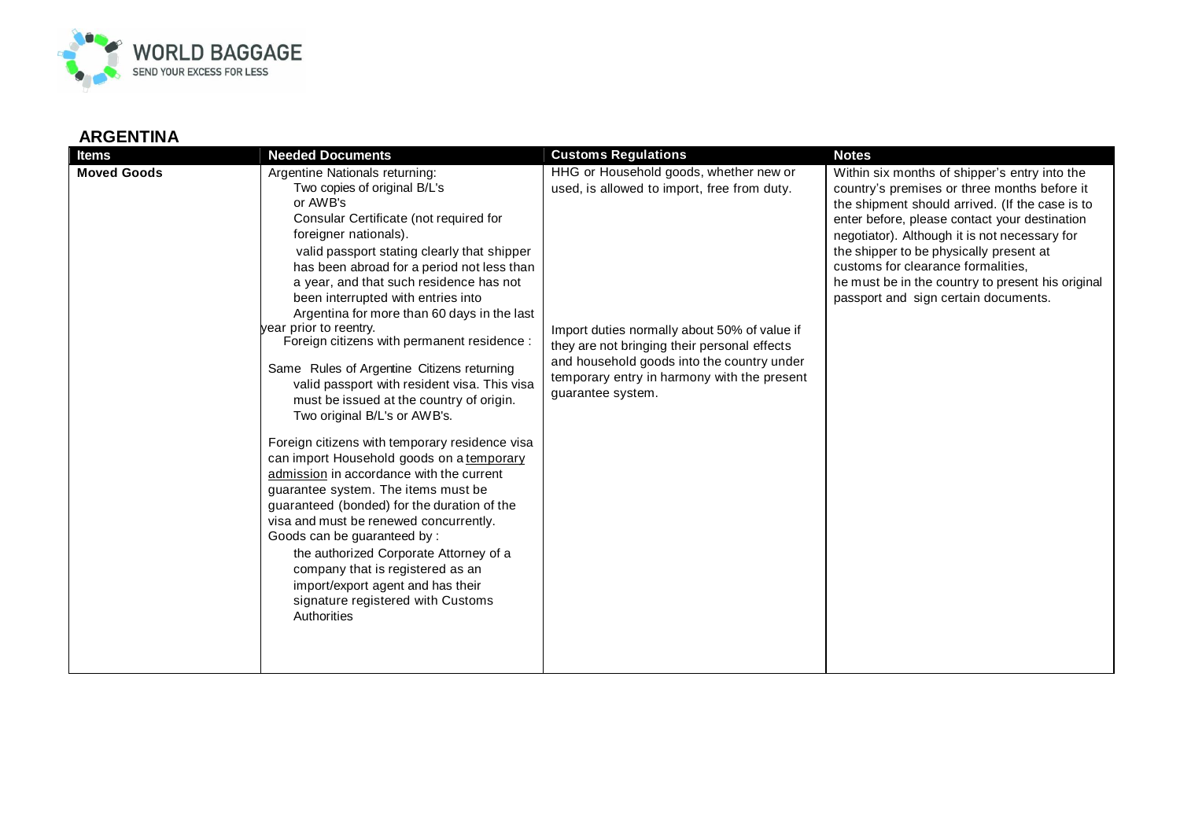

| Items              | <b>Needed Documents</b>                                                                                                                                                                                                                                                                                                                                                                                                                                                                                                                                                                                                                                                                                                                                                                                                                                                                                                                                                                                                                                                                                         | <b>Customs Regulations</b>                                                                                                                                                                                                                                                                              | <b>Notes</b>                                                                                                                                                                                                                                                                                                                                                                                                                     |
|--------------------|-----------------------------------------------------------------------------------------------------------------------------------------------------------------------------------------------------------------------------------------------------------------------------------------------------------------------------------------------------------------------------------------------------------------------------------------------------------------------------------------------------------------------------------------------------------------------------------------------------------------------------------------------------------------------------------------------------------------------------------------------------------------------------------------------------------------------------------------------------------------------------------------------------------------------------------------------------------------------------------------------------------------------------------------------------------------------------------------------------------------|---------------------------------------------------------------------------------------------------------------------------------------------------------------------------------------------------------------------------------------------------------------------------------------------------------|----------------------------------------------------------------------------------------------------------------------------------------------------------------------------------------------------------------------------------------------------------------------------------------------------------------------------------------------------------------------------------------------------------------------------------|
| <b>Moved Goods</b> | Argentine Nationals returning:<br>Two copies of original B/L's<br>or AWB's<br>Consular Certificate (not required for<br>foreigner nationals).<br>valid passport stating clearly that shipper<br>has been abroad for a period not less than<br>a year, and that such residence has not<br>been interrupted with entries into<br>Argentina for more than 60 days in the last<br>year prior to reentry.<br>Foreign citizens with permanent residence :<br>Same Rules of Argentine Citizens returning<br>valid passport with resident visa. This visa<br>must be issued at the country of origin.<br>Two original B/L's or AWB's.<br>Foreign citizens with temporary residence visa<br>can import Household goods on a temporary<br>admission in accordance with the current<br>guarantee system. The items must be<br>guaranteed (bonded) for the duration of the<br>visa and must be renewed concurrently.<br>Goods can be guaranteed by :<br>the authorized Corporate Attorney of a<br>company that is registered as an<br>import/export agent and has their<br>signature registered with Customs<br>Authorities | HHG or Household goods, whether new or<br>used, is allowed to import, free from duty.<br>Import duties normally about 50% of value if<br>they are not bringing their personal effects<br>and household goods into the country under<br>temporary entry in harmony with the present<br>guarantee system. | Within six months of shipper's entry into the<br>country's premises or three months before it<br>the shipment should arrived. (If the case is to<br>enter before, please contact your destination<br>negotiator). Although it is not necessary for<br>the shipper to be physically present at<br>customs for clearance formalities,<br>he must be in the country to present his original<br>passport and sign certain documents. |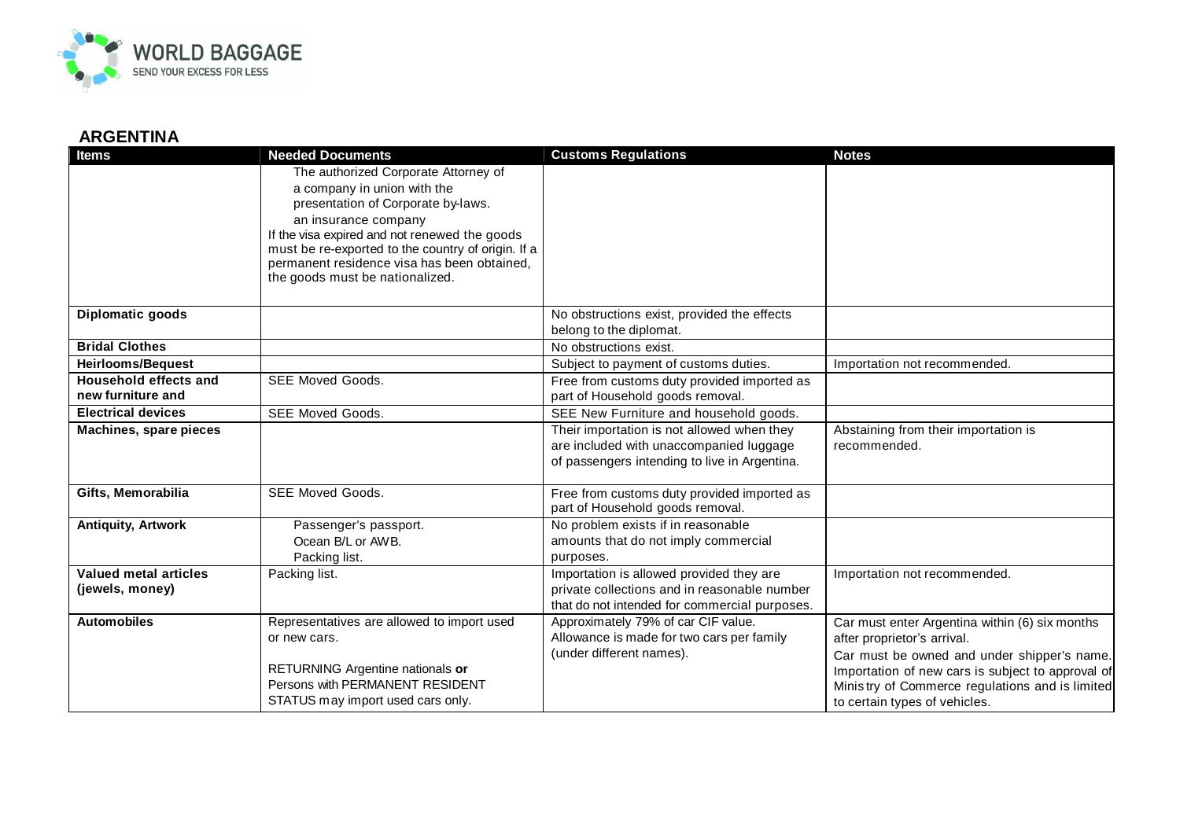

| <b>Items</b>                 | <b>Needed Documents</b>                                                                           | <b>Customs Regulations</b>                                                           | <b>Notes</b>                                                                  |
|------------------------------|---------------------------------------------------------------------------------------------------|--------------------------------------------------------------------------------------|-------------------------------------------------------------------------------|
|                              | The authorized Corporate Attorney of                                                              |                                                                                      |                                                                               |
|                              | a company in union with the                                                                       |                                                                                      |                                                                               |
|                              | presentation of Corporate by-laws.                                                                |                                                                                      |                                                                               |
|                              | an insurance company                                                                              |                                                                                      |                                                                               |
|                              | If the visa expired and not renewed the goods                                                     |                                                                                      |                                                                               |
|                              | must be re-exported to the country of origin. If a<br>permanent residence visa has been obtained, |                                                                                      |                                                                               |
|                              | the goods must be nationalized.                                                                   |                                                                                      |                                                                               |
|                              |                                                                                                   |                                                                                      |                                                                               |
| Diplomatic goods             |                                                                                                   | No obstructions exist, provided the effects                                          |                                                                               |
|                              |                                                                                                   | belong to the diplomat.                                                              |                                                                               |
| <b>Bridal Clothes</b>        |                                                                                                   | No obstructions exist.                                                               |                                                                               |
| <b>Heirlooms/Bequest</b>     |                                                                                                   | Subject to payment of customs duties.                                                | Importation not recommended.                                                  |
| <b>Household effects and</b> | SEE Moved Goods.                                                                                  | Free from customs duty provided imported as                                          |                                                                               |
| new furniture and            |                                                                                                   | part of Household goods removal.                                                     |                                                                               |
| <b>Electrical devices</b>    | <b>SEE Moved Goods.</b>                                                                           | SEE New Furniture and household goods.                                               |                                                                               |
| Machines, spare pieces       |                                                                                                   | Their importation is not allowed when they                                           | Abstaining from their importation is                                          |
|                              |                                                                                                   | are included with unaccompanied luggage                                              | recommended.                                                                  |
|                              |                                                                                                   | of passengers intending to live in Argentina.                                        |                                                                               |
| Gifts, Memorabilia           | SEE Moved Goods.                                                                                  | Free from customs duty provided imported as                                          |                                                                               |
|                              |                                                                                                   | part of Household goods removal.                                                     |                                                                               |
| <b>Antiquity, Artwork</b>    | Passenger's passport.                                                                             | No problem exists if in reasonable                                                   |                                                                               |
|                              | Ocean B/L or AWB.                                                                                 | amounts that do not imply commercial                                                 |                                                                               |
|                              | Packing list.                                                                                     | purposes.                                                                            |                                                                               |
| Valued metal articles        | Packing list.                                                                                     | Importation is allowed provided they are                                             | Importation not recommended.                                                  |
| (jewels, money)              |                                                                                                   | private collections and in reasonable number                                         |                                                                               |
| <b>Automobiles</b>           | Representatives are allowed to import used                                                        | that do not intended for commercial purposes.<br>Approximately 79% of car CIF value. |                                                                               |
|                              | or new cars.                                                                                      | Allowance is made for two cars per family                                            | Car must enter Argentina within (6) six months<br>after proprietor's arrival. |
|                              |                                                                                                   | (under different names).                                                             | Car must be owned and under shipper's name.                                   |
|                              | RETURNING Argentine nationals or                                                                  |                                                                                      | Importation of new cars is subject to approval of                             |
|                              | Persons with PERMANENT RESIDENT                                                                   |                                                                                      | Ministry of Commerce regulations and is limited                               |
|                              | STATUS may import used cars only.                                                                 |                                                                                      | to certain types of vehicles.                                                 |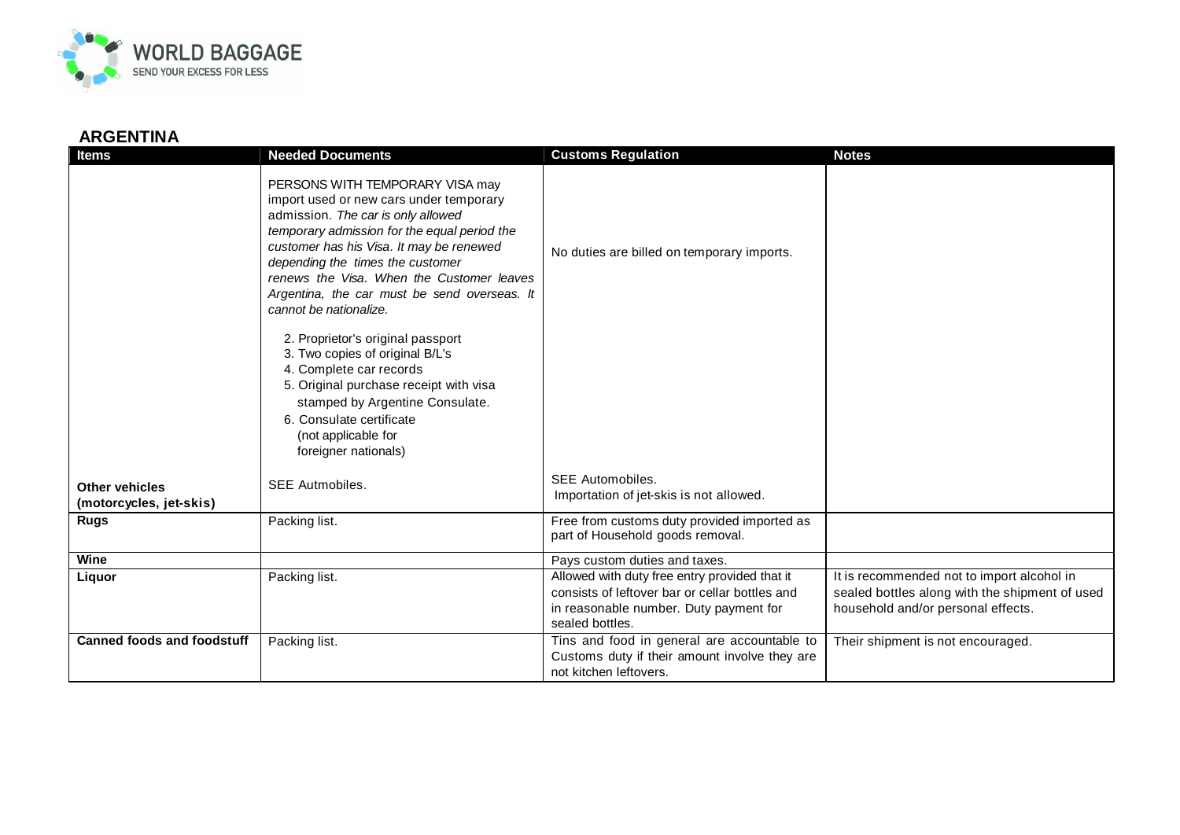

| <b>Items</b>                              | <b>Needed Documents</b>                                                                                                                                                                                                                                                                                                                                                 | <b>Customs Regulation</b>                                                                                                                                    | <b>Notes</b>                                                                                                                       |
|-------------------------------------------|-------------------------------------------------------------------------------------------------------------------------------------------------------------------------------------------------------------------------------------------------------------------------------------------------------------------------------------------------------------------------|--------------------------------------------------------------------------------------------------------------------------------------------------------------|------------------------------------------------------------------------------------------------------------------------------------|
|                                           | PERSONS WITH TEMPORARY VISA may<br>import used or new cars under temporary<br>admission. The car is only allowed<br>temporary admission for the equal period the<br>customer has his Visa. It may be renewed<br>depending the times the customer<br>renews the Visa. When the Customer leaves<br>Argentina, the car must be send overseas. It<br>cannot be nationalize. | No duties are billed on temporary imports.                                                                                                                   |                                                                                                                                    |
|                                           | 2. Proprietor's original passport<br>3. Two copies of original B/L's<br>4. Complete car records<br>5. Original purchase receipt with visa<br>stamped by Argentine Consulate.<br>6. Consulate certificate<br>(not applicable for<br>foreigner nationals)                                                                                                                 |                                                                                                                                                              |                                                                                                                                    |
| Other vehicles<br>(motorcycles, jet-skis) | SEE Autmobiles.                                                                                                                                                                                                                                                                                                                                                         | SEE Automobiles.<br>Importation of jet-skis is not allowed.                                                                                                  |                                                                                                                                    |
| <b>Rugs</b>                               | Packing list.                                                                                                                                                                                                                                                                                                                                                           | Free from customs duty provided imported as<br>part of Household goods removal.                                                                              |                                                                                                                                    |
| Wine                                      |                                                                                                                                                                                                                                                                                                                                                                         | Pays custom duties and taxes.                                                                                                                                |                                                                                                                                    |
| Liquor                                    | Packing list.                                                                                                                                                                                                                                                                                                                                                           | Allowed with duty free entry provided that it<br>consists of leftover bar or cellar bottles and<br>in reasonable number. Duty payment for<br>sealed bottles. | It is recommended not to import alcohol in<br>sealed bottles along with the shipment of used<br>household and/or personal effects. |
| <b>Canned foods and foodstuff</b>         | Packing list.                                                                                                                                                                                                                                                                                                                                                           | Tins and food in general are accountable to<br>Customs duty if their amount involve they are<br>not kitchen leftovers.                                       | Their shipment is not encouraged.                                                                                                  |